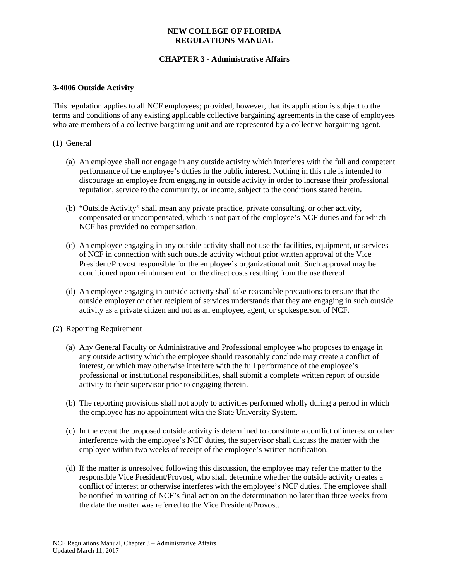# **NEW COLLEGE OF FLORIDA REGULATIONS MANUAL**

# **CHAPTER 3 - Administrative Affairs**

# **3-4006 Outside Activity**

This regulation applies to all NCF employees; provided, however, that its application is subject to the terms and conditions of any existing applicable collective bargaining agreements in the case of employees who are members of a collective bargaining unit and are represented by a collective bargaining agent.

#### (1) General

- (a) An employee shall not engage in any outside activity which interferes with the full and competent performance of the employee's duties in the public interest. Nothing in this rule is intended to discourage an employee from engaging in outside activity in order to increase their professional reputation, service to the community, or income, subject to the conditions stated herein.
- (b) "Outside Activity" shall mean any private practice, private consulting, or other activity, compensated or uncompensated, which is not part of the employee's NCF duties and for which NCF has provided no compensation.
- (c) An employee engaging in any outside activity shall not use the facilities, equipment, or services of NCF in connection with such outside activity without prior written approval of the Vice President/Provost responsible for the employee's organizational unit. Such approval may be conditioned upon reimbursement for the direct costs resulting from the use thereof.
- (d) An employee engaging in outside activity shall take reasonable precautions to ensure that the outside employer or other recipient of services understands that they are engaging in such outside activity as a private citizen and not as an employee, agent, or spokesperson of NCF.
- (2) Reporting Requirement
	- (a) Any General Faculty or Administrative and Professional employee who proposes to engage in any outside activity which the employee should reasonably conclude may create a conflict of interest, or which may otherwise interfere with the full performance of the employee's professional or institutional responsibilities, shall submit a complete written report of outside activity to their supervisor prior to engaging therein.
	- (b) The reporting provisions shall not apply to activities performed wholly during a period in which the employee has no appointment with the State University System.
	- (c) In the event the proposed outside activity is determined to constitute a conflict of interest or other interference with the employee's NCF duties, the supervisor shall discuss the matter with the employee within two weeks of receipt of the employee's written notification.
	- (d) If the matter is unresolved following this discussion, the employee may refer the matter to the responsible Vice President/Provost, who shall determine whether the outside activity creates a conflict of interest or otherwise interferes with the employee's NCF duties. The employee shall be notified in writing of NCF's final action on the determination no later than three weeks from the date the matter was referred to the Vice President/Provost.